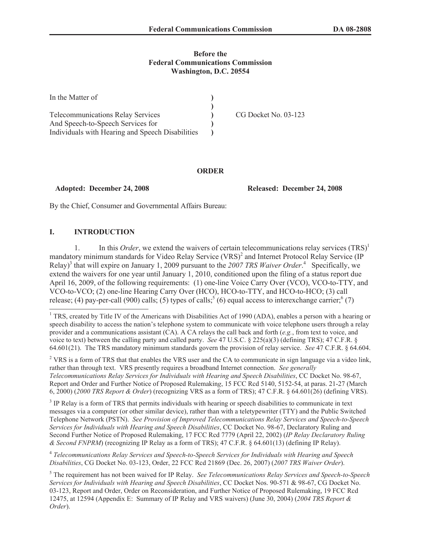## **Before the Federal Communications Commission Washington, D.C. 20554**

| In the Matter of                                 |                      |
|--------------------------------------------------|----------------------|
|                                                  |                      |
| <b>Telecommunications Relay Services</b>         | CG Docket No. 03-123 |
| And Speech-to-Speech Services for                |                      |
| Individuals with Hearing and Speech Disabilities |                      |

### **ORDER**

**Adopted: December 24, 2008 Released: December 24, 2008**

By the Chief, Consumer and Governmental Affairs Bureau:

# **I. INTRODUCTION**

1. In this *Order*, we extend the waivers of certain telecommunications relay services  $(TRS)^1$ mandatory minimum standards for Video Relay Service (VRS)<sup>2</sup> and Internet Protocol Relay Service (IP Relay)<sup>3</sup> that will expire on January 1, 2009 pursuant to the 2007 TRS Waiver Order.<sup>4</sup> Specifically, we extend the waivers for one year until January 1, 2010, conditioned upon the filing of a status report due April 16, 2009, of the following requirements: (1) one-line Voice Carry Over (VCO), VCO-to-TTY, and VCO-to-VCO; (2) one-line Hearing Carry Over (HCO), HCO-to-TTY, and HCO-to-HCO; (3) call release; (4) pay-per-call (900) calls; (5) types of calls;  $(6)$  equal access to interexchange carrier;  $(7)$ 

<sup>2</sup> VRS is a form of TRS that that enables the VRS user and the CA to communicate in sign language via a video link, rather than through text. VRS presently requires a broadband Internet connection. *See generally Telecommunications Relay Services for Individuals with Hearing and Speech Disabilities*, CC Docket No. 98-67, Report and Order and Further Notice of Proposed Rulemakin*g*, 15 FCC Rcd 5140, 5152-54, at paras. 21-27 (March 6, 2000) (*2000 TRS Report & Order*) (recognizing VRS as a form of TRS); 47 C.F.R. § 64.601(26) (defining VRS).

<sup>3</sup> IP Relay is a form of TRS that permits individuals with hearing or speech disabilities to communicate in text messages via a computer (or other similar device), rather than with a teletypewriter (TTY) and the Public Switched Telephone Network (PSTN). *See Provision of Improved Telecommunications Relay Services and Speech-to-Speech Services for Individuals with Hearing and Speech Disabilities*, CC Docket No. 98-67, Declaratory Ruling and Second Further Notice of Proposed Rulemaking, 17 FCC Rcd 7779 (April 22, 2002) (*IP Relay Declaratory Ruling & Second FNPRM*) (recognizing IP Relay as a form of TRS); 47 C.F.R. § 64.601(13) (defining IP Relay).

4 *Telecommunications Relay Services and Speech-to-Speech Services for Individuals with Hearing and Speech Disabilities*, CG Docket No. 03-123, Order, 22 FCC Rcd 21869 (Dec. 26, 2007) (*2007 TRS Waiver Order*).

<sup>5</sup> The requirement has not been waived for IP Relay. *See Telecommunications Relay Services and Speech-to-Speech Services for Individuals with Hearing and Speech Disabilities*, CC Docket Nos. 90-571 & 98-67, CG Docket No. 03-123, Report and Order, Order on Reconsideration, and Further Notice of Proposed Rulemaking, 19 FCC Rcd 12475, at 12594 (Appendix E: Summary of IP Relay and VRS waivers) (June 30, 2004) (*2004 TRS Report & Order*).

<sup>&</sup>lt;sup>1</sup> TRS, created by Title IV of the Americans with Disabilities Act of 1990 (ADA), enables a person with a hearing or speech disability to access the nation's telephone system to communicate with voice telephone users through a relay provider and a communications assistant (CA). A CA relays the call back and forth (*e.g.*, from text to voice, and voice to text) between the calling party and called party. *See* 47 U.S.C. § 225(a)(3) (defining TRS); 47 C.F.R. § 64.601(21). The TRS mandatory minimum standards govern the provision of relay service. *See* 47 C.F.R. § 64.604.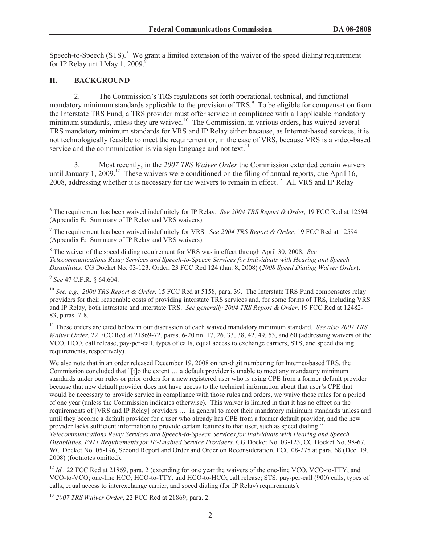Speech-to-Speech (STS).<sup>7</sup> We grant a limited extension of the waiver of the speed dialing requirement for IP Relay until May 1, 2009. $\degree$ 

## **II. BACKGROUND**

2. The Commission's TRS regulations set forth operational, technical, and functional mandatory minimum standards applicable to the provision of TRS.<sup>9</sup> To be eligible for compensation from the Interstate TRS Fund, a TRS provider must offer service in compliance with all applicable mandatory minimum standards, unless they are waived.<sup>10</sup> The Commission, in various orders, has waived several TRS mandatory minimum standards for VRS and IP Relay either because, as Internet-based services, it is not technologically feasible to meet the requirement or, in the case of VRS, because VRS is a video-based service and the communication is via sign language and not text.<sup>11</sup>

3. Most recently, in the *2007 TRS Waiver Order* the Commission extended certain waivers until January 1, 2009.<sup>12</sup> These waivers were conditioned on the filing of annual reports, due April 16, 2008, addressing whether it is necessary for the waivers to remain in effect.<sup>13</sup> All VRS and IP Relay

<sup>8</sup> The waiver of the speed dialing requirement for VRS was in effect through April 30, 2008. *See Telecommunications Relay Services and Speech-to-Speech Services for Individuals with Hearing and Speech Disabilities*, CG Docket No. 03-123, Order, 23 FCC Rcd 124 (Jan. 8, 2008) (*2008 Speed Dialing Waiver Order*).

9 *See* 47 C.F.R. § 64.604.

<sup>10</sup> *See, e.g., 2000 TRS Report & Order,* 15 FCC Rcd at 5158, para. 39. The Interstate TRS Fund compensates relay providers for their reasonable costs of providing interstate TRS services and, for some forms of TRS, including VRS and IP Relay, both intrastate and interstate TRS. *See generally 2004 TRS Report & Order*, 19 FCC Rcd at 12482- 83, paras. 7-8.

<sup>11</sup> These orders are cited below in our discussion of each waived mandatory minimum standard. *See also 2007 TRS Waiver Order*, 22 FCC Rcd at 21869-72, paras. 6-20 nn. 17, 26, 33, 38, 42, 49, 53, and 60 (addressing waivers of the VCO, HCO, call release, pay-per-call, types of calls, equal access to exchange carriers, STS, and speed dialing requirements, respectively).

We also note that in an order released December 19, 2008 on ten-digit numbering for Internet-based TRS, the Commission concluded that "[t]o the extent … a default provider is unable to meet any mandatory minimum standards under our rules or prior orders for a new registered user who is using CPE from a former default provider because that new default provider does not have access to the technical information about that user's CPE that would be necessary to provide service in compliance with those rules and orders, we waive those rules for a period of one year (unless the Commission indicates otherwise). This waiver is limited in that it has no effect on the requirements of [VRS and IP Relay] providers … in general to meet their mandatory minimum standards unless and until they become a default provider for a user who already has CPE from a former default provider, and the new provider lacks sufficient information to provide certain features to that user, such as speed dialing." *Telecommunications Relay Services and Speech-to-Speech Services for Individuals with Hearing and Speech Disabilities*, *E911 Requirements for IP-Enabled Service Providers,* CG Docket No. 03-123, CC Docket No. 98-67, WC Docket No. 05-196, Second Report and Order and Order on Reconsideration, FCC 08-275 at para. 68 (Dec. 19, 2008) (footnotes omitted).

<sup>12</sup> *Id.*, 22 FCC Rcd at 21869, para. 2 (extending for one year the waivers of the one-line VCO, VCO-to-TTY, and VCO-to-VCO; one-line HCO, HCO-to-TTY, and HCO-to-HCO; call release; STS; pay-per-call (900) calls, types of calls, equal access to interexchange carrier, and speed dialing (for IP Relay) requirements).

<sup>13</sup> *2007 TRS Waiver Order*, 22 FCC Rcd at 21869, para. 2.

<sup>6</sup> The requirement has been waived indefinitely for IP Relay. *See 2004 TRS Report & Order,* 19 FCC Rcd at 12594 (Appendix E: Summary of IP Relay and VRS waivers).

<sup>7</sup> The requirement has been waived indefinitely for VRS. *See 2004 TRS Report & Order,* 19 FCC Rcd at 12594 (Appendix E: Summary of IP Relay and VRS waivers).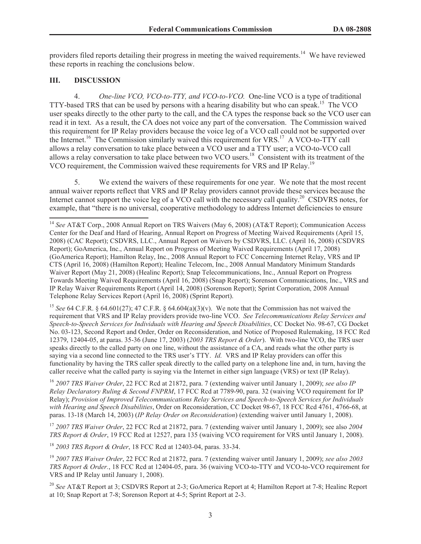providers filed reports detailing their progress in meeting the waived requirements.<sup>14</sup> We have reviewed these reports in reaching the conclusions below.

## **III. DISCUSSION**

4. *One-line VCO, VCO-to-TTY, and VCO-to-VCO.* One-line VCO is a type of traditional TTY-based TRS that can be used by persons with a hearing disability but who can speak.<sup>15</sup> The VCO user speaks directly to the other party to the call, and the CA types the response back so the VCO user can read it in text. As a result, the CA does not voice any part of the conversation. The Commission waived this requirement for IP Relay providers because the voice leg of a VCO call could not be supported over the Internet.<sup>16</sup> The Commission similarly waived this requirement for VRS.<sup>17</sup> A VCO-to-TTY call allows a relay conversation to take place between a VCO user and a TTY user; a VCO-to-VCO call allows a relay conversation to take place between two VCO users.<sup>18</sup> Consistent with its treatment of the VCO requirement, the Commission waived these requirements for VRS and IP Relay.<sup>19</sup>

5. We extend the waivers of these requirements for one year. We note that the most recent annual waiver reports reflect that VRS and IP Relay providers cannot provide these services because the Internet cannot support the voice leg of a VCO call with the necessary call quality.<sup>20</sup> CSDVRS notes, for example, that "there is no universal, cooperative methodology to address Internet deficiencies to ensure

<sup>15</sup> *See* 64 C.F.R. § 64.601(27); 47 C.F.R. § 64.604(a)(3)(v). We note that the Commission has not waived the requirement that VRS and IP Relay providers provide two-line VCO. *See Telecommunications Relay Services and Speech-to-Speech Services for Individuals with Hearing and Speech Disabilities*, CC Docket No. 98-67, CG Docket No. 03-123, Second Report and Order, Order on Reconsideration, and Notice of Proposed Rulemaking, 18 FCC Rcd 12379, 12404-05, at paras. 35-36 (June 17, 2003) (*2003 TRS Report & Order*). With two-line VCO, the TRS user speaks directly to the called party on one line, without the assistance of a CA, and reads what the other party is saying via a second line connected to the TRS user's TTY. *Id.* VRS and IP Relay providers can offer this functionality by having the TRS caller speak directly to the called party on a telephone line and, in turn, having the caller receive what the called party is saying via the Internet in either sign language (VRS) or text (IP Relay).

<sup>16</sup> *2007 TRS Waiver Order*, 22 FCC Rcd at 21872, para. 7 (extending waiver until January 1, 2009); *see also IP Relay Declaratory Ruling & Second FNPRM*, 17 FCC Rcd at 7789-90, para. 32 (waiving VCO requirement for IP Relay); *Provision of Improved Telecommunications Relay Services and Speech-to-Speech Services for Individuals with Hearing and Speech Disabilities*, Order on Reconsideration, CC Docket 98-67, 18 FCC Rcd 4761, 4766-68, at paras. 13-18 (March 14, 2003) (*IP Relay Order on Reconsideration*) (extending waiver until January 1, 2008).

<sup>17</sup> *2007 TRS Waiver Order*, 22 FCC Rcd at 21872, para. 7 (extending waiver until January 1, 2009); see also *2004 TRS Report & Order*, 19 FCC Rcd at 12527, para 135 (waiving VCO requirement for VRS until January 1, 2008).

<sup>18</sup> *2003 TRS Report & Order*, 18 FCC Rcd at 12403-04, paras. 33-34.

<sup>19</sup> *2007 TRS Waiver Order*, 22 FCC Rcd at 21872, para. 7 (extending waiver until January 1, 2009); *see also 2003 TRS Report & Order.*, 18 FCC Rcd at 12404-05, para. 36 (waiving VCO-to-TTY and VCO-to-VCO requirement for VRS and IP Relay until January 1, 2008).

<sup>20</sup> *See* AT&T Report at 3; CSDVRS Report at 2-3; GoAmerica Report at 4; Hamilton Report at 7-8; Healinc Report at 10; Snap Report at 7-8; Sorenson Report at 4-5; Sprint Report at 2-3.

<sup>14</sup> *See* AT&T Corp., 2008 Annual Report on TRS Waivers (May 6, 2008) (AT&T Report); Communication Access Center for the Deaf and Hard of Hearing, Annual Report on Progress of Meeting Waived Requirements (April 15, 2008) (CAC Report); CSDVRS, LLC., Annual Report on Waivers by CSDVRS, LLC. (April 16, 2008) (CSDVRS Report); GoAmerica, Inc., Annual Report on Progress of Meeting Waived Requirements (April 17, 2008) (GoAmerica Report); Hamilton Relay, Inc., 2008 Annual Report to FCC Concerning Internet Relay, VRS and IP CTS (April 16, 2008) (Hamilton Report); Healinc Telecom, Inc., 2008 Annual Mandatory Minimum Standards Waiver Report (May 21, 2008) (Healinc Report); Snap Telecommunications, Inc., Annual Report on Progress Towards Meeting Waived Requirements (April 16, 2008) (Snap Report); Sorenson Communications, Inc., VRS and IP Relay Waiver Requirements Report (April 14, 2008) (Sorenson Report); Sprint Corporation, 2008 Annual Telephone Relay Services Report (April 16, 2008) (Sprint Report).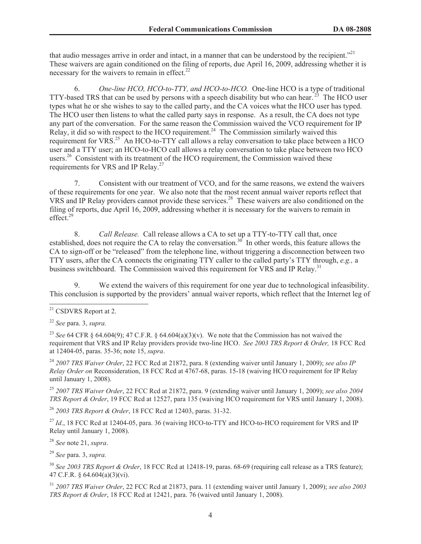that audio messages arrive in order and intact, in a manner that can be understood by the recipient.<sup>"21</sup> These waivers are again conditioned on the filing of reports, due April 16, 2009, addressing whether it is necessary for the waivers to remain in effect. $^{22}$ 

6. *One-line HCO, HCO-to-TTY, and HCO-to-HCO.* One-line HCO is a type of traditional TTY-based TRS that can be used by persons with a speech disability but who can hear.<sup>23</sup> The HCO user types what he or she wishes to say to the called party, and the CA voices what the HCO user has typed. The HCO user then listens to what the called party says in response. As a result, the CA does not type any part of the conversation. For the same reason the Commission waived the VCO requirement for IP Relay, it did so with respect to the HCO requirement.<sup>24</sup> The Commission similarly waived this requirement for VRS.<sup>25</sup> An HCO-to-TTY call allows a relay conversation to take place between a HCO user and a TTY user; an HCO-to-HCO call allows a relay conversation to take place between two HCO users.<sup>26</sup> Consistent with its treatment of the HCO requirement, the Commission waived these requirements for VRS and IP Relay.<sup>27</sup>

7. Consistent with our treatment of VCO, and for the same reasons, we extend the waivers of these requirements for one year. We also note that the most recent annual waiver reports reflect that VRS and IP Relay providers cannot provide these services.<sup>28</sup> These waivers are also conditioned on the filing of reports, due April 16, 2009, addressing whether it is necessary for the waivers to remain in effect.<sup>29</sup>

8. *Call Release.* Call release allows a CA to set up a TTY-to-TTY call that, once established, does not require the CA to relay the conversation.<sup>30</sup> In other words, this feature allows the CA to sign-off or be "released" from the telephone line, without triggering a disconnection between two TTY users, after the CA connects the originating TTY caller to the called party's TTY through, *e.g.,* a business switchboard. The Commission waived this requirement for VRS and IP Relay.<sup>31</sup>

9. We extend the waivers of this requirement for one year due to technological infeasibility. This conclusion is supported by the providers' annual waiver reports, which reflect that the Internet leg of

<sup>23</sup> *See* 64 CFR § 64.604(9); 47 C.F.R. § 64.604(a)(3)(y). We note that the Commission has not waived the requirement that VRS and IP Relay providers provide two-line HCO. *See 2003 TRS Report & Order,* 18 FCC Rcd at 12404-05, paras. 35-36; note 15, *supra*.

<sup>24</sup> *2007 TRS Waiver Order*, 22 FCC Rcd at 21872, para. 8 (extending waiver until January 1, 2009); *see also IP Relay Order on* Reconsideration, 18 FCC Rcd at 4767-68, paras. 15-18 (waiving HCO requirement for IP Relay until January 1, 2008).

<sup>25</sup> *2007 TRS Waiver Order*, 22 FCC Rcd at 21872, para. 9 (extending waiver until January 1, 2009); *see also 2004 TRS Report & Order*, 19 FCC Rcd at 12527, para 135 (waiving HCO requirement for VRS until January 1, 2008).

<sup>26</sup> *2003 TRS Report & Order*, 18 FCC Rcd at 12403, paras. 31-32.

<sup>27</sup> *Id.*, 18 FCC Rcd at 12404-05, para. 36 (waiving HCO-to-TTY and HCO-to-HCO requirement for VRS and IP Relay until January 1, 2008).

<sup>28</sup> *See* note 21, *supra*.

<sup>29</sup> *See* para. 3, *supra.*

<sup>30</sup> *See 2003 TRS Report & Order*, 18 FCC Rcd at 12418-19, paras. 68-69 (requiring call release as a TRS feature); 47 C.F.R. § 64.604(a)(3)(vi).

<sup>31</sup> *2007 TRS Waiver Order*, 22 FCC Rcd at 21873, para. 11 (extending waiver until January 1, 2009); *see also 2003 TRS Report & Order*, 18 FCC Rcd at 12421, para. 76 (waived until January 1, 2008).

<sup>&</sup>lt;sup>21</sup> CSDVRS Report at 2.

<sup>22</sup> *See* para. 3, *supra.*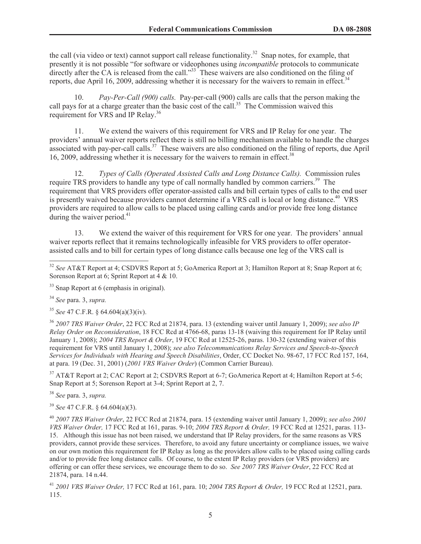the call (via video or text) cannot support call release functionality.<sup>32</sup> Snap notes, for example, that presently it is not possible "for software or videophones using *incompatible* protocols to communicate directly after the  $CA$  is released from the call." $33^{\circ}$  These waivers are also conditioned on the filing of reports, due April 16, 2009, addressing whether it is necessary for the waivers to remain in effect.<sup>34</sup>

10. *Pay-Per-Call (900) calls.* Pay-per-call (900) calls are calls that the person making the call pays for at a charge greater than the basic cost of the call.<sup>35</sup> The Commission waived this requirement for VRS and IP Relay.<sup>36</sup>

11. We extend the waivers of this requirement for VRS and IP Relay for one year. The providers' annual waiver reports reflect there is still no billing mechanism available to handle the charges associated with pay-per-call calls.<sup>37</sup> These waivers are also conditioned on the filing of reports, due April 16, 2009, addressing whether it is necessary for the waivers to remain in effect.<sup>38</sup>

12. *Types of Calls (Operated Assisted Calls and Long Distance Calls).* Commission rules require TRS providers to handle any type of call normally handled by common carriers.<sup>39</sup> The requirement that VRS providers offer operator-assisted calls and bill certain types of calls to the end user is presently waived because providers cannot determine if a VRS call is local or long distance.<sup>40</sup> VRS providers are required to allow calls to be placed using calling cards and/or provide free long distance during the waiver period.<sup>41</sup>

13. We extend the waiver of this requirement for VRS for one year. The providers' annual waiver reports reflect that it remains technologically infeasible for VRS providers to offer operatorassisted calls and to bill for certain types of long distance calls because one leg of the VRS call is

<sup>35</sup> *See* 47 C.F.R. § 64.604(a)(3)(iv).

<sup>36</sup> *2007 TRS Waiver Order*, 22 FCC Rcd at 21874, para. 13 (extending waiver until January 1, 2009); *see also IP Relay Order on Reconsideration*, 18 FCC Rcd at 4766-68, paras 13-18 (waiving this requirement for IP Relay until January 1, 2008); *2004 TRS Report & Order*, 19 FCC Rcd at 12525-26, paras. 130-32 (extending waiver of this requirement for VRS until January 1, 2008); *see also Telecommunications Relay Services and Speech-to-Speech Services for Individuals with Hearing and Speech Disabilities*, Order, CC Docket No. 98-67, 17 FCC Rcd 157, 164, at para. 19 (Dec. 31, 2001) (*2001 VRS Waiver Order*) (Common Carrier Bureau).

<sup>37</sup> AT&T Report at 2; CAC Report at 2; CSDVRS Report at 6-7; GoAmerica Report at 4; Hamilton Report at 5-6; Snap Report at 5; Sorenson Report at 3-4; Sprint Report at 2, 7.

<sup>38</sup> *See* para. 3, *supra.*

<sup>39</sup> *See* 47 C.F.R. § 64.604(a)(3).

<sup>40</sup> *2007 TRS Waiver Order*, 22 FCC Rcd at 21874, para. 15 (extending waiver until January 1, 2009); *see also 2001 VRS Waiver Order,* 17 FCC Rcd at 161, paras. 9-10; *2004 TRS Report & Order,* 19 FCC Rcd at 12521, paras. 113- 15. Although this issue has not been raised, we understand that IP Relay providers, for the same reasons as VRS providers, cannot provide these services. Therefore, to avoid any future uncertainty or compliance issues, we waive on our own motion this requirement for IP Relay as long as the providers allow calls to be placed using calling cards and/or to provide free long distance calls. Of course, to the extent IP Relay providers (or VRS providers) are offering or can offer these services, we encourage them to do so. *See 2007 TRS Waiver Order*, 22 FCC Rcd at 21874, para. 14 n.44.

<sup>41</sup> *2001 VRS Waiver Order,* 17 FCC Rcd at 161, para. 10; *2004 TRS Report & Order,* 19 FCC Rcd at 12521, para. 115.

<sup>32</sup> *See* AT&T Report at 4; CSDVRS Report at 5; GoAmerica Report at 3; Hamilton Report at 8; Snap Report at 6; Sorenson Report at 6; Sprint Report at 4 & 10.

<sup>&</sup>lt;sup>33</sup> Snap Report at 6 (emphasis in original).

<sup>34</sup> *See* para. 3, *supra.*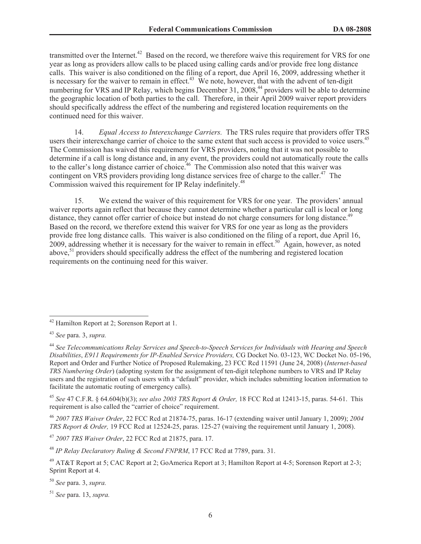transmitted over the Internet.<sup>42</sup> Based on the record, we therefore waive this requirement for VRS for one year as long as providers allow calls to be placed using calling cards and/or provide free long distance calls. This waiver is also conditioned on the filing of a report, due April 16, 2009, addressing whether it is necessary for the waiver to remain in effect.<sup>43</sup> We note, however, that with the advent of ten-digit numbering for VRS and IP Relay, which begins December 31, 2008,<sup>44</sup> providers will be able to determine the geographic location of both parties to the call. Therefore, in their April 2009 waiver report providers should specifically address the effect of the numbering and registered location requirements on the continued need for this waiver.

14. *Equal Access to Interexchange Carriers.* The TRS rules require that providers offer TRS users their interexchange carrier of choice to the same extent that such access is provided to voice users.<sup>45</sup> The Commission has waived this requirement for VRS providers, noting that it was not possible to determine if a call is long distance and, in any event, the providers could not automatically route the calls to the caller's long distance carrier of choice.<sup>46</sup> The Commission also noted that this waiver was contingent on VRS providers providing long distance services free of charge to the caller.<sup>47</sup> The Commission waived this requirement for IP Relay indefinitely.<sup>48</sup>

15. We extend the waiver of this requirement for VRS for one year. The providers' annual waiver reports again reflect that because they cannot determine whether a particular call is local or long distance, they cannot offer carrier of choice but instead do not charge consumers for long distance.<sup>49</sup> Based on the record, we therefore extend this waiver for VRS for one year as long as the providers provide free long distance calls. This waiver is also conditioned on the filing of a report, due April 16, 2009, addressing whether it is necessary for the waiver to remain in effect.<sup>50</sup> Again, however, as noted above,<sup>51</sup> providers should specifically address the effect of the numbering and registered location requirements on the continuing need for this waiver.

<sup>45</sup> *See* 47 C.F.R. § 64.604(b)(3); *see also 2003 TRS Report & Order,* 18 FCC Rcd at 12413-15, paras. 54-61. This requirement is also called the "carrier of choice" requirement.

<sup>46</sup> *2007 TRS Waiver Order*, 22 FCC Rcd at 21874-75, paras. 16-17 (extending waiver until January 1, 2009); *2004 TRS Report & Order,* 19 FCC Rcd at 12524-25, paras. 125-27 (waiving the requirement until January 1, 2008).

<sup>47</sup> *2007 TRS Waiver Order*, 22 FCC Rcd at 21875, para. 17.

<sup>48</sup> *IP Relay Declaratory Ruling & Second FNPRM*, 17 FCC Rcd at 7789, para. 31.

<sup>49</sup> AT&T Report at 5; CAC Report at 2; GoAmerica Report at 3; Hamilton Report at 4-5; Sorenson Report at 2-3; Sprint Report at 4.

<sup>50</sup> *See* para. 3, *supra.*

<sup>51</sup> *See* para. 13, *supra.*

<sup>42</sup> Hamilton Report at 2; Sorenson Report at 1.

<sup>43</sup> *See* para. 3, *supra.*

<sup>44</sup> *See Telecommunications Relay Services and Speech-to-Speech Services for Individuals with Hearing and Speech Disabilities*, *E911 Requirements for IP-Enabled Service Providers,* CG Docket No. 03-123, WC Docket No. 05-196, Report and Order and Further Notice of Proposed Rulemaking, 23 FCC Rcd 11591 (June 24, 2008) (*Internet-based TRS Numbering Order*) (adopting system for the assignment of ten-digit telephone numbers to VRS and IP Relay users and the registration of such users with a "default" provider, which includes submitting location information to facilitate the automatic routing of emergency calls).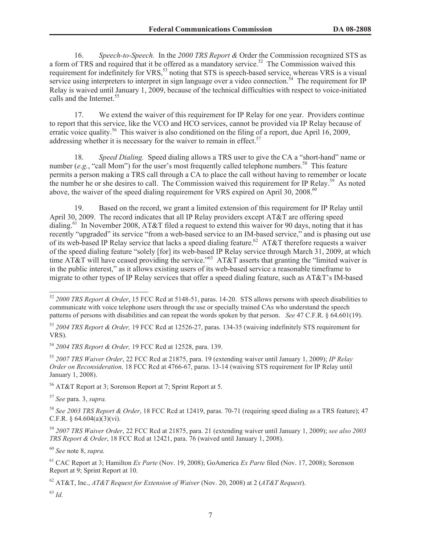16. *Speech-to-Speech.* In the *2000 TRS Report &* Order the Commission recognized STS as a form of TRS and required that it be offered as a mandatory service.<sup>52</sup> The Commission waived this requirement for indefinitely for VRS,<sup>53</sup> noting that STS is speech-based service, whereas VRS is a visual service using interpreters to interpret in sign language over a video connection.<sup>54</sup> The requirement for IP Relay is waived until January 1, 2009, because of the technical difficulties with respect to voice-initiated calls and the Internet.<sup>55</sup>

17. We extend the waiver of this requirement for IP Relay for one year. Providers continue to report that this service, like the VCO and HCO services, cannot be provided via IP Relay because of erratic voice quality.<sup>56</sup> This waiver is also conditioned on the filing of a report, due April 16, 2009, addressing whether it is necessary for the waiver to remain in effect.<sup>57</sup>

18. *Speed Dialing.* Speed dialing allows a TRS user to give the CA a "short-hand" name or number (*e.g.*, "call Mom") for the user's most frequently called telephone numbers.<sup>58</sup> This feature permits a person making a TRS call through a CA to place the call without having to remember or locate the number he or she desires to call. The Commission waived this requirement for IP Relay.<sup>59</sup> As noted above, the waiver of the speed dialing requirement for VRS expired on April 30, 2008.<sup>60</sup>

19. Based on the record, we grant a limited extension of this requirement for IP Relay until April 30, 2009. The record indicates that all IP Relay providers except AT&T are offering speed dialing.<sup>61</sup> In November 2008, AT&T filed a request to extend this waiver for 90 days, noting that it has recently "upgraded" its service "from a web-based service to an IM-based service," and is phasing out use of its web-based IP Relay service that lacks a speed dialing feature.<sup>62</sup> AT&T therefore requests a waiver of the speed dialing feature "solely [for] its web-based IP Relay service through March 31, 2009, at which time AT&T will have ceased providing the service."<sup>63</sup> AT&T asserts that granting the "limited waiver is in the public interest," as it allows existing users of its web-based service a reasonable timeframe to migrate to other types of IP Relay services that offer a speed dialing feature, such as AT&T's IM-based

 $56$  AT&T Report at 3: Sorenson Report at 7: Sprint Report at 5.

<sup>57</sup> *See* para. 3, *supra.*

<sup>58</sup> *See 2003 TRS Report & Order*, 18 FCC Rcd at 12419, paras. 70-71 (requiring speed dialing as a TRS feature); 47 C.F.R. §  $64.604(a)(3)(vi)$ .

<sup>59</sup> *2007 TRS Waiver Order*, 22 FCC Rcd at 21875, para. 21 (extending waiver until January 1, 2009); *see also 2003 TRS Report & Order*, 18 FCC Rcd at 12421, para. 76 (waived until January 1, 2008).

<sup>60</sup> *See* note 8, *supra.*

<sup>61</sup> CAC Report at 3; Hamilton *Ex Parte* (Nov. 19, 2008); GoAmerica *Ex Parte* filed (Nov. 17, 2008); Sorenson Report at 9; Sprint Report at 10.

<sup>62</sup> AT&T, Inc., *AT&T Request for Extension of Waiver* (Nov. 20, 2008) at 2 (*AT&T Request*).

<sup>63</sup> *Id.*

<sup>52</sup> *2000 TRS Report & Order*, 15 FCC Rcd at 5148-51, paras. 14-20. STS allows persons with speech disabilities to communicate with voice telephone users through the use or specially trained CAs who understand the speech patterns of persons with disabilities and can repeat the words spoken by that person. *See* 47 C.F.R. § 64.601(19).

<sup>53</sup> *2004 TRS Report & Order,* 19 FCC Rcd at 12526-27, paras. 134-35 (waiving indefinitely STS requirement for VRS).

<sup>54</sup> *2004 TRS Report & Order,* 19 FCC Rcd at 12528, para. 139.

<sup>55</sup> *2007 TRS Waiver Order*, 22 FCC Rcd at 21875, para. 19 (extending waiver until January 1, 2009); *IP Relay Order on Reconsideration,* 18 FCC Rcd at 4766-67, paras. 13-14 (waiving STS requirement for IP Relay until January 1, 2008).